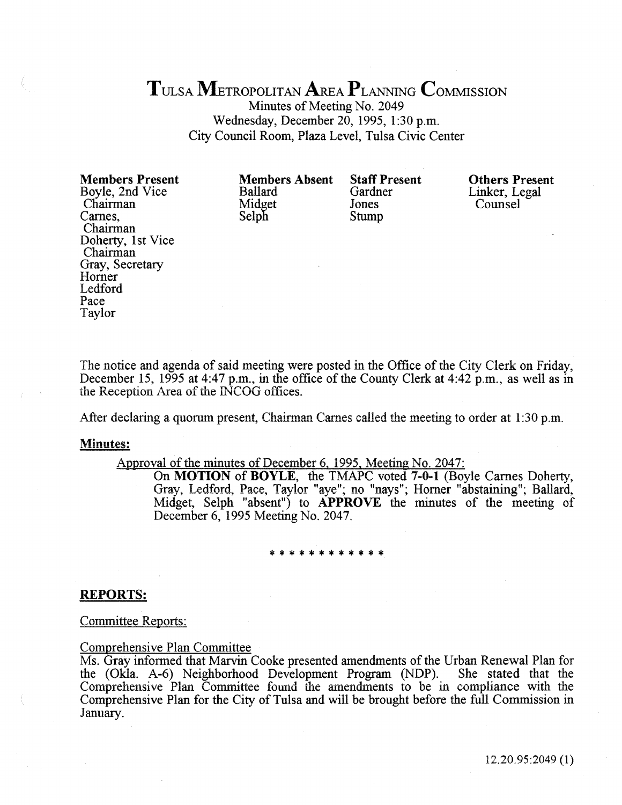# TULsA METROPOLITAN AREA PLANNING CoMMissiON

Minutes of Meeting No. 2049 Wednesday, December 20, 1995, 1:30 p.m. City Council Room, Plaza Level, Tulsa Civic Center

Members Present Boyle, 2nd Vice Chairman Carnes, Chairman Doherty, 1st Vice Chairman Gray, Secretary Homer Ledford Pace Taylor

Members Absent Ballard Midget Selph

Staff Present Gardner Jones Stump

Others Present Linker, Legal Counsel

The notice and agenda of said meeting were posted in the Office of the City Clerk on Friday, December 15, 1995 at 4:47 p.m., in the office of the County Clerk at 4:42 p.m., as well as in the Reception Area of the INCOG offices.

After declaring a quorum present, Chairman Carnes called the meeting to order at  $1:30$  p.m.

#### Minutes:

# Approval of the minutes of December 6, 1995, Meeting No. 2047:

On MOTION of BOYLE, the TMAPC voted 7-0-1 (Boyle Carnes Doherty, Gray, Ledford, Pace, Taylor "aye"; no "nays"; Horner "abstaining"; Ballard, Midget, Selph "absent") to APPROVE the minutes of the meeting of December 6, 1995 Meeting No. 2047.

#### \*\*\*\*\*\*\*\*\*\*\*\*

## REPORTS:

Committee Reports:

#### Comprehensive Plan Committee

Ms. Gray informed that Marvin Cooke presented amendments of the Urban Renewal Plan for the (Okla. A-6) Neighborhood Development Program (NDP). She stated that the the (Okla. A-6) Neighborhood Development Program (NDP). Comprehensive Plan Committee found the amendments to be in compliance with the Comprehensive Plan for the City of Tulsa and will be brought before the full Commission in January.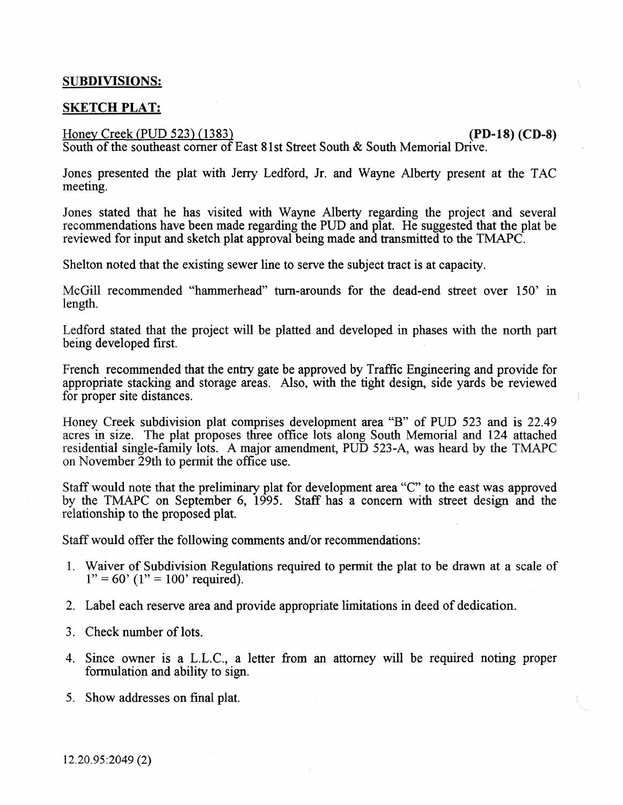# SUBDIVISIONS:

# SKETCH PLAT:

# Honey Creek (PUD 523) (1383) (2004) (PD-18) (CD-8)

South of the southeast corner of East 81st Street South  $\&$  South Memorial Drive.

Jones presented the plat with Jerry Ledford, Jr. and Wayne Alberty present at the TAC meeting.

Jones stated that he has visited with Wayne Alberty regarding the project and several recommendations have been made regarding the PUD and plat. He suggested that the plat be reviewed for input and sketch plat approval being made and transmitted to the TMAPC.

Shelton noted that the existing sewer line to serve the subject tract is at capacity.

McGill recommended "hammerhead" turn-arounds for the dead-end street over 150' in length.

Ledford stated that the project will be platted and developed in phases with the north part being developed first.

French recommended that the entty gate be approved by Traffic Engineering and provide for appropriate stacking and storage areas. Also, with the tight design, side yards be reviewed for proper site distances.

Honey Creek subdivision plat comprises development area "B" of PUD 523 and is 22.49 acres in size. The plat proposes three office lots along South Memorial and 124 attached residential single-family lots. A major amendment, PUD 523-A, was heard by the TMAPC on November 29th to pennit the office use.

Staff would note that the preliminary plat for development area "C" to the east was approved by the TMAPC on September 6, 1995. Staff has a concern with street design and the relationship to the proposed plat.

Staff would offer the following comments and/or recommendations:

- 1. Waiver of Subdivision Regulations required to permit the plat to be drawn at a scale of  $1" = 60'$  ( $1" = 100'$  required).
- 2. Label each reserve area and provide appropriate limitations in deed of dedication.
- 3. Check number of lots.
- 4. Since owner is a L.L.C., a letter from an attorney will be required noting proper formulation and ability to sign.
- 5. Show addresses on fmal plat.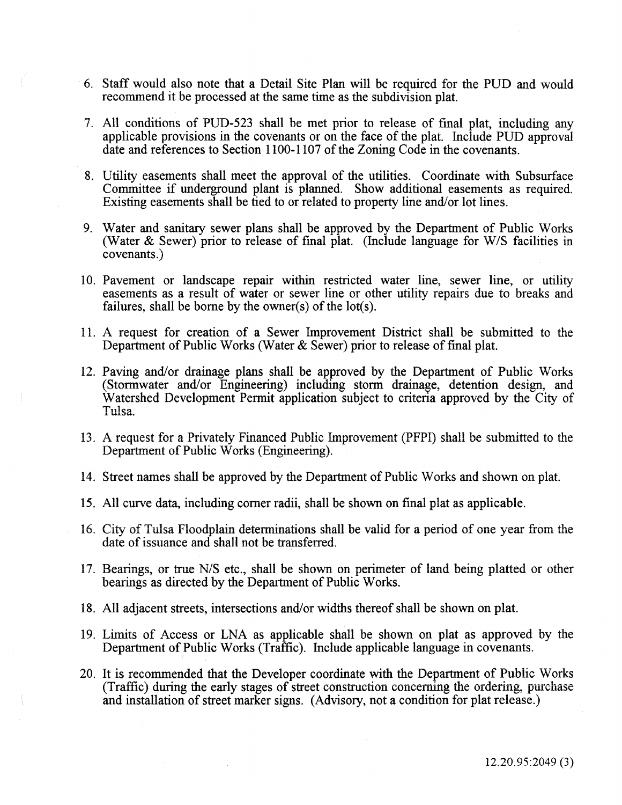- 6. Staff would also note that a Detail Site Plan will be required for the PUD and would recommend it be processed at the same time as the subdivision plat.
- 7. All conditions of PUD-523 shall be met prior to release of fmal plat, including any applicable provisions in the covenants or on the face of the plat. Include PUD approval date and references to Section 1100-1107 of the Zoning Code in the covenants.
- 8. Utility easements shall meet the approval of the utilities. Coordinate with Subsurface Committee if underground plant is planned. Show additional easements as required. Existing easements shall be tied to or related to property line and/or lot lines.
- 9. Water and sanitary sewer plans shall be approved by the Department of Public Works (Water & Sewer) prior to release of fmal plat. (Include language for W/S facilities in covenants.)
- 10. Pavement or landscape repair within restricted water line, sewer line, or utility easements as a result of water or sewer line or other utility repairs due to breaks and failures, shall be borne by the owner(s) of the lot(s).
- 11. A request for creation of a Sewer Improvement District shall be submitted to the Department of Public Works (Water  $\&$  Sewer) prior to release of final plat.
- 12. Paving and/or drainage plans shall be approved by the Department of Public Works (Stormwater and/or Engineering) including storm drainage, detention design, and Watershed Development Permit application subject to criteria approved by the City of Tulsa.
- 13. A request for a Privately Financed Public Improvement (PFPI) shall be submitted to the Department of Public Works (Engineering).
- 14. Street names shall be approved by the Department of Public Works and shown on plat.
- 15. All curve data, including comer radii, shall be shown on fmal plat as applicable.
- 16. City of Tulsa Floodplain determinations shall be valid for a period of one year from the date of issuance and shall not be transferred.
- 17. Bearings, or true N/S etc., shall be shown on perimeter of land being platted or other bearings as directed by the Department of Public Works.
- 18. All adjacent streets, intersections and/or widths thereof shall be shown on plat.
- 19. Limits of Access or LNA as applicable shall be shown on plat as approved by the Department of Public Works (Traffic). Include applicable language in covenants.
- 20. It is recommended that the Developer coordinate with the Department of Public Works (Traffic) during the early stages of street construction concerning the ordering, purchase and installation of street marker signs. (Advisory, not a condition for plat release.)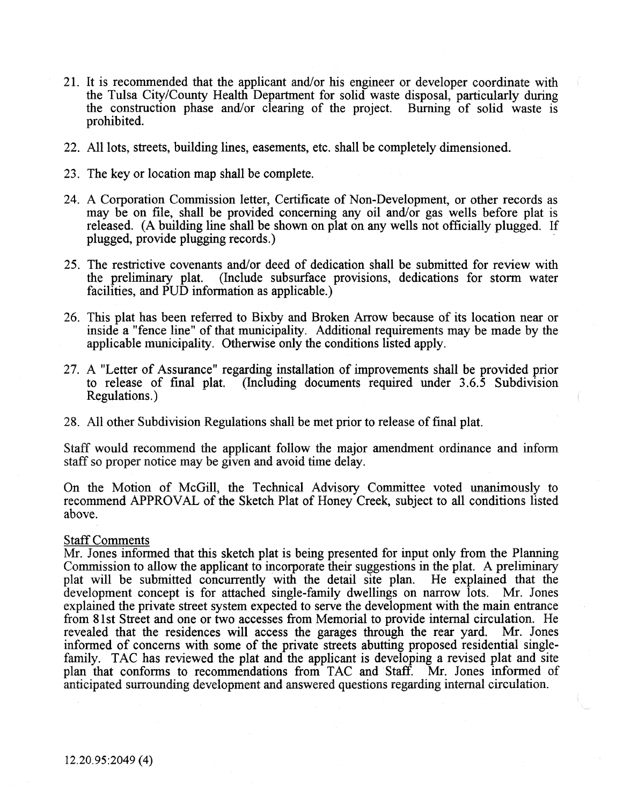- 21. It is recommended that the applicant and/or his engineer or developer coordinate with the Tulsa City/County Health Department for solid waste disposal, particularly during the construction phase and/or clearing of the project. Burning of solid waste is prohibited.
- 22. All lots, streets, building lines, easements, etc. shall be completely dimensioned.
- 23. The key or location map shall be complete.
- 24. A Corporation Commission letter, Certificate of Non-Development, or other records as may be on file, shall be provided concerning any oil and/or gas wells before plat is released. (A building line shall be shown on plat on any wells not officially plugged. If plugged, provide plugging records.)
- 25. The restrictive covenants and/or deed of dedication shall be submitted for review with the preliminary plat. (Include subsurface provisions, dedications for storm water facilities, and PUD information as applicable.)
- 26. This olat has been referred to Bixbv and Broken Arrow because of its location near or inside a "fence line" of that municipality. Additional requirements may be made by the applicable municipality. Otherwise only the conditions listed apply.
- 27. A "Letter of Assurance" regarding installation of improvements shall be provided prior to release of final plat. (Including documents required under  $3.6.\overline{5}$  Subdivision Regulations.)
- 28. All other Subdivision Regulations shall be met prior to release of fmal plat.

Staff would recommend the applicant follow the major amendment ordinance and inform staff so proper notice may be given and avoid time delay.

On the Motion of McGill, the Technical Advisory Committee voted unanimously to recommend APPROVAL of the Sketch Plat of Honey Creek, subject to all conditions listed above.

#### Staff Comments

Mr. Jones informed that this sketch plat is being presented for input only from the Planning Commission to allow the applicant to incorporate their suggestions in the plat. A preliminary plat will be submitted concurrently with the detail site plan. He explained that the plat will be submitted concurrently with the detail site plan. development concept is for attached single-family dwellings on narrow lots. Mr. Jones explained the private street system expected to serve the development with the main entrance from 8lst Street and one or two accesses from Memorial to provide internal circulation. He revealed that the residences will access the garages through the rear yard. Mr. Jones informed of concerns with some of the private streets abutting proposed residential singlefamily. TAC has reviewed the plat and the applicant is developing a revised plat and site plan that conforms to recommendations from TAC and Staff. Mr. Jones informed of anticipated surrounding development and answered questions regarding internal circulation.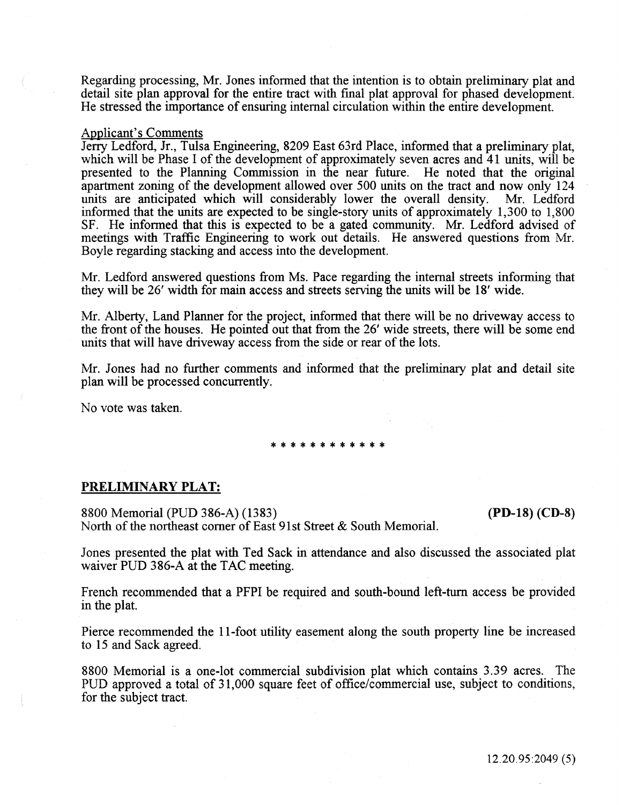Regarding processing, Mr. Jones informed that the intention is to obtain preliminary plat and detail site plan approval for the entire tract with fmal plat approval for phased development. He stressed the importance of ensuring internal circulation within the entire development.

# Applicant's Comments

Jeny Ledford, Jr., Tulsa Engineering, 8209 East 63rd Place, informed that a preliminary plat, which will be Phase I of the development of approximately seven acres and 41 units, will be presented to the Planning Commission in the near future. He noted that the original apartment zoning of the development allowed over 500 units on the tract and now only 124 units are anticipated which will considerably lower the overall density. Mr. Ledford informed that the units are expected to be single-story units of approximately 1,300 to 1,800 SF. He informed that this is expected to be a gated community. Mr. Ledford advised of meetings with Traffic Engineering to work out details. He answered questions from Mr. Boyle regarding stacking and access into the development.

Mr. Ledford answered questions from Ms. Pace regarding the internal streets informing that they will be 26' width for main access and streets serving the units will be 18' wide.

Mr. Alberty, Land Planner for the project, informed that there will be no driveway access to the front of the houses. He pointed out that from the 26' wide streets, there will be some end units that will have driveway access from the side or rear of the lots.

Mr. Jones had no further comments and informed that the preliminary plat and detail site plan will be processed concurrently.

No vote was taken.

#### \*\*\*\*\*\*\*\*\*\*\*\*

#### PRELIMINARY PLAT:

8800 Memorial (PUD 386-A) (1383) (PD-18) (CD-8) North of the northeast comer of East 91st Street & South Memorial.

Jones presented the plat with Ted Sack in attendance and also discussed the associated plat waiver PUD 386-A at the TAC meeting.

French recommended that a PFPI be required and south-bound left-tum access be provided in the plat.

Pierce recommended the 11-foot utility easement along the south property line be increased to 15 and Sack agreed.

8800 Memorial is a one-lot commercial subdivision plat which contains 3.39 acres. The PUD approved a total of 31,000 square feet of office/commercial use, subject to conditions, for the subject tract.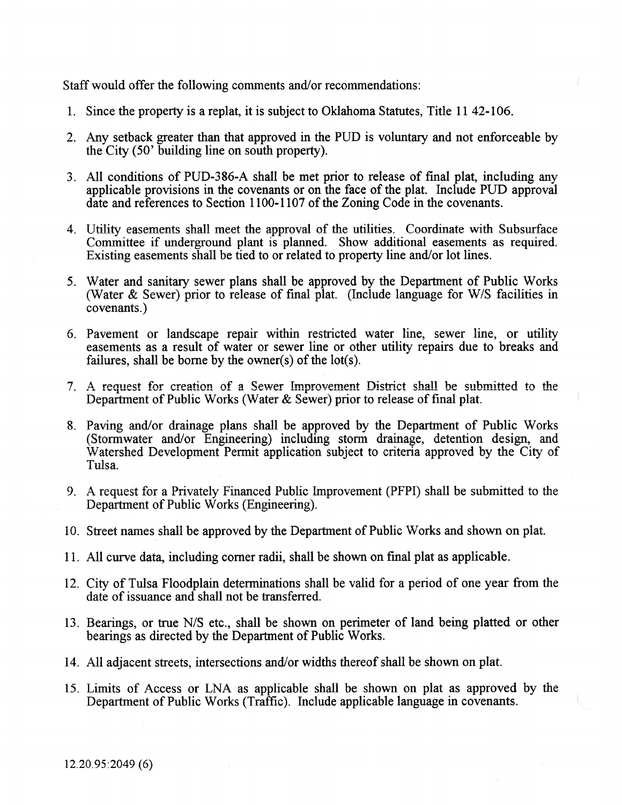Staff would offer the following comments and/or recommendations:

- 1. Since the property is a replat, it is subject to Oklahoma Statutes, Title 11 42-106.
- 2. Any setback greater than that approved in the PUD is voluntary and not enforceable by the City (50' building line on south property).
- 3. All conditions of PUD-386-A shall be met prior to release of fmal plat, including any applicable provisions in the covenants or on the face of the plat. Include PUD approval date and references to Section 1100-1107 of the Zoning Code in the covenants.
- 4. Utility easements shall meet the approval of the utilities. Coordinate with Subsurface Committee if underground plant is planned. Show additional easements as required. Existing easements shall be tied to or related to property line and/or lot lines.
- 5. Water and sanitary sewer plans shall be approved by the Department of Public Works (Water & Sewer) prior to release of fmal plat. (Include language for W/S facilities in covenants.)
- 6. Pavement or landscape repair within restricted water line, sewer line, or utility easements as a result of water or sewer line or other utility repairs due to breaks and failures, shall be borne by the owner(s) of the lot(s).
- 7. A request for creation of a Sewer Improvement District shall be submitted to the Department of Public Works (Water & Sewer) prior to release of final plat.
- 8. Paving and/or drainage plans shall be approved by the Department of Public Works (Stormwater and/or Engineering) including storm drainage, detention design, and Watershed Development Permit application subject to criteria approved by the City of Tulsa.
- 9. A request for a Privately Financed Public Improvement (PFPI) shall be submitted to the Department of Public Works (Engineering).
- 10. Street names shall be approved by the Department of Public Works and shown on plat.
- 11. All curve data, including comer radii, shall be shown on fmal plat as applicable.
- 12. City of Tulsa Floodplain determinations shall be valid for a period of one year from the date of issuance and shall not be transferred.
- 13. Bearings, or true N/S etc., shall be shown on perimeter of land being platted or other bearings as directed by the Department of Public Works.
- 14. All adjacent streets, intersections and/or widths thereof shall be shown on plat.
- 15. Limits of Access or LNA as applicable shall be shown on plat as approved by the Department of Public Works (Traffic). Include applicable language in covenants.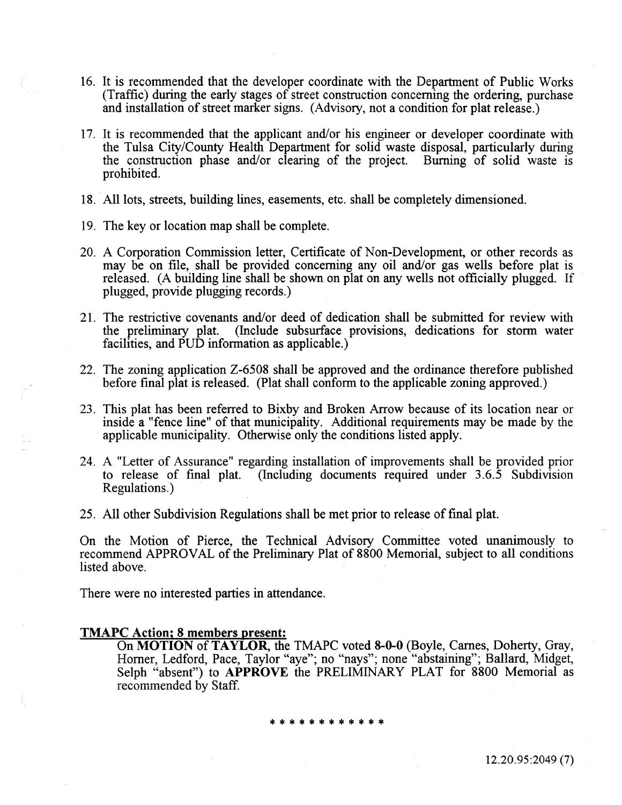- 16. It is recommended that the developer coordinate with the Department of Public Works (Traffic) during the early stages of street construction concerning the ordering, purchase and installation of street marker signs. (Advisory, not a condition for plat release.)
- 17. It is recommended that the applicant and/or his engineer or developer coordinate with the Tulsa City/County Health Department for solid waste disposal, particularly during the construction phase and/or clearing of the project. Burning of solid waste is prohibited.
- 18. All lots, streets, building lines, easements, etc. shall be completely dimensioned.
- 19. The key or location map shall be complete.
- 20. A Corporation Commission letter, Certificate of Non-Development, or other records as may be on file, shall be provided concerning any oil and/or gas wells before plat is released. (A building line shall be shown on plat on any wells not officially plugged. If plugged, provide plugging records.)
- 21. The restrictive covenants and/or deed of dedication shall be submitted for review with the preliminary plat. (Include subsurface provisions, dedications for storm water facilities, and PUD information as applicable.)
- 22. The zoning application Z-6508 shall be approved and the ordinance therefore published before fmal plat is released. (Plat shall conform to the applicable zoning approved.)
- 23. This plat has been referred to Bixby and Broken Arrow because of its location near or inside a "fence line" of that municipality. Additional requirements may be made by the applicable municipality. Otherwise only the conditions listed apply.
- 24. A "Letter of Assurance" regarding installation of improvements shall be provided prior to release of final plat. (Including documents required under 3.6.5 Subdivision (Including documents required under  $3.6.\overline{5}$  Subdivision Regulations.)
- 25. All other Subdivision Regulations shall be met prior to release of final plat.

On the Motion of Pierce, the Technical Advisory Committee voted unanimously to recommend APPROVAL of the Preliminary Plat of 8800 Memorial, subject to all conditions listed above.

There were no interested parties in attendance.

#### TMAPC Action; 8 members present:

On MOTION of TAYLOR, the TMAPC voted 8-0-0 (Boyle, Carnes, Doherty, Gray, Homer, Ledford, Pace, Taylor "aye"; no "nays"; none "abstaining"; Ballard, Midget, Selph "absent") to **APPROVE** the PRELIMINARY PLAT for 8800 Memorial as recommended by Staff.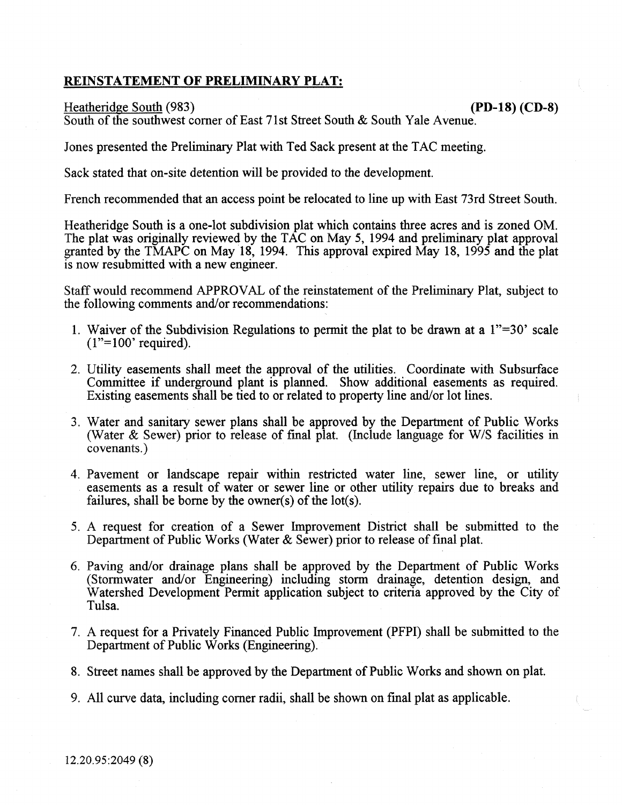# REINSTATEMENT OF PRELIMINARY PLAT:

### Heatheridge South (983) **(PD-18)** (CD-8)

South of the southwest corner of East 71st Street South & South Yale Avenue.

Jones presented the Preliminary Plat with Ted Sack present at the TAC meeting.

Sack stated that on-site detention will be provided to the development.

French recommended that an access point be relocated to line up with East 73rd Street South.

Heatheridge South is a one-lot subdivision plat which contains three acres and is zoned OM. The plat was originally reviewed by the TAC on May 5, 1994 and preliminary plat approval granted by the TMAPC on May 18, 1994. This approval expired May 18, 1995 and the plat is now resubmitted with a new engineer.

Staff would recommend APPROVAL of the reinstatement of the Preliminary Plat, subject to the following comments and/or recommendations:

- 1. Waiver of the Subdivision Regulations to permit the plat to be drawn at a 1"=30' scale  $(1"=100'$  required).
- 2. Utility easements shall meet the approval of the utilities. Coordinate with Subsurface Committee if underground plant is planned. Show additional easements as required. Existing easements shall be tied to or related to property line and/or lot lines.
- 3. Water and sanitary sewer plans shall be approved by the Department of Public Works (Water  $\&$  Sewer) prior to release of final plat. (Include language for W/S facilities in covenants.)
- 4. Pavement or landscape repair within restricted water line, sewer line, or utility easements as a result of water or sewer line or other utility repairs due to breaks and failures, shall be borne by the owner(s) of the lot(s).
- 5. A request for creation of a Sewer Improvement District shall be submitted to the Department of Public Works (Water & Sewer) prior to release of final plat.
- 6. Paving and/or drainage plans shall be approved by the Department of Public Works (Stormwater and/or Engineering) including storm drainage, detention design, and Watershed Development Permit application subject to criteria approved by the City of Tulsa.
- 7. A request for a Privately Financed Public Improvement (PFPI) shall be submitted to the Department of Public Works (Engineering).
- 8. Street names shall be approved by the Department of Public Works and shown on plat.
- 9. All curve data, including comer radii, shall be shown on fmal plat as applicable.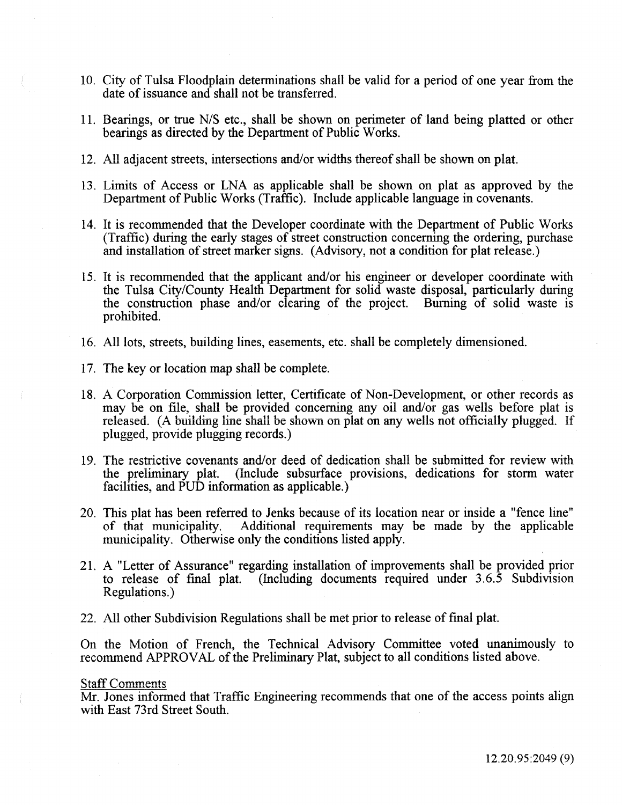- 10. City of Tulsa Floodplain determinations shall be valid for a period of one year from the date of issuance and shall not be transferred.
- 11. Bearings, or true N/S etc., shall be shown on perimeter of land being platted or other bearings as directed by the Department of Public Works.
- 12. All adjacent streets, intersections and/or widths thereof shall be shown on plat.
- 13. Limits of Access or LNA as applicable shall be shown on plat as approved by the Department of Public Works (Traffic). Include applicable language in covenants.
- 14. It is recommended that the Developer coordinate with the Department of Public Works (Traffic) during the early stages of street construction concerning the ordering, purchase and installation of street marker signs. (Advisory, not a condition for plat release.)
- 15. It is recommended that the applicant and/or his engineer or developer coordinate with the Tulsa City/County Health Department for solid waste disposal, particularly during the construction phase and/or clearing of the project. Burning of solid waste is prohibited.
- 16. All lots, streets, building lines, easements, etc. shall be completely dimensioned.
- 17. The key or location map shall be complete.
- 18. A Corporation Commission letter, Certificate of Non-Development, or other records as may be on file, shall be provided concerning any oil and/or gas wells before plat is released. (A building line shall be shown on plat on any wells not officially plugged. If plugged, provide plugging records.)
- 19. The restrictive covenants and/or deed of dedication shall be submitted for review with the preliminary plat. (Include subsurface provisions, dedications for storm water facilities, and PUD information as applicable.)
- 20. This plat has been referred to Jenks because of its location near or inside a "fence line" of that municipality. Additional requirements may be made by the applicable municipality. Otherwise only the conditions listed apply.
- 21. A "Letter of Assurance" regarding installation of improvements shall be provided prior to release of fmal plat. (Including documents required under 3.6.5 Subdivision Regulations.)
- 22. All other Subdivision Regulations shall be met prior to release of fmal plat.

On the Motion of French, the Technical Advisory Committee voted unanimously to recommend APPROVAL of the Preliminary Plat, subject to all conditions listed above.

#### Staff Comments

Mr. Jones informed that Traffic Engineering recommends that one of the access points align with East 73rd Street South.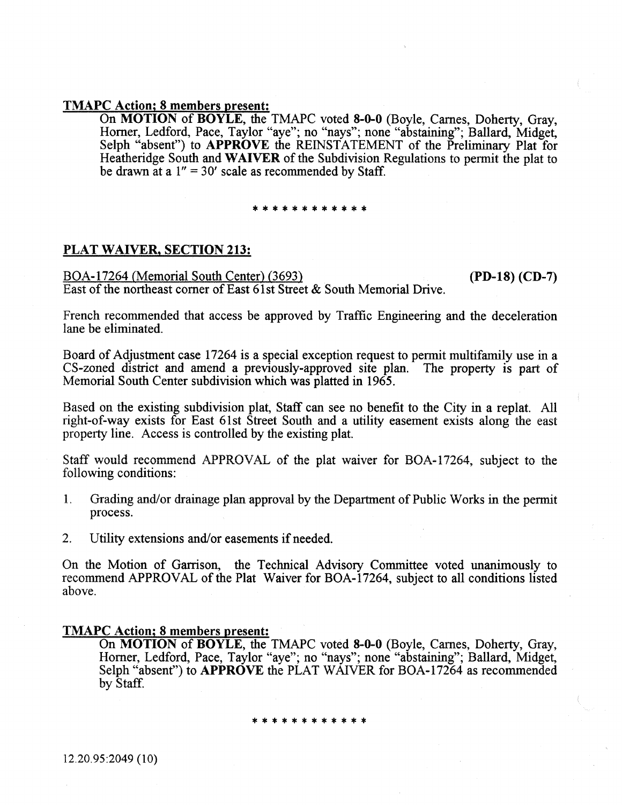# TMAPC Action; 8 members present:

On MOTION of BOYLE, the TMAPC voted 8-0-0 (Boyle, Carnes, Doherty, Gray, Homer, Ledford, Pace, Taylor "aye"; no "nays"; none "abstaining"; Ballard, Midget, Selph "absent") to APPROVE the REINSTATEMENT of the Preliminary Plat for Heatheridge South and WAIVER of the Subdivision Regulations to permit the plat to be drawn at a  $1'' = 30'$  scale as recommended by Staff.

# \*\*\*\*\*\*\*\*\*\*\*\*

# PLAT WAIVER, SECTION 213:

BOA-17264 (Memorial South Center) (3693) East of the northeast corner of East 61st Street & South Memorial Drive. (PD-18) (CD-7)

French recommended that access be approved by Traffic Engineering and the deceleration lane be eliminated.

Board of Adjustment case 17264 is a special exception request to permit multifamily use in a CS-zoned district and amend a previously-approved site plan. The property is part of Memorial South Center subdivision which was platted in 1965.

Based on the existing subdivision plat, Staff can see no benefit to the City in a replat. All right-of-way exists for East 6lst Street South and a utility easement exists along the east property line. Access is controlled by the existing plat.

Staff would recommend APPROVAL of the plat waiver for BOA-17264, subject to the following conditions:

- 1. Grading and/or drainage plan approval by the Department of Public Works in the permit process.
- 2. Utility extensions and/or easements if needed.

On the Motion of Garrison, the Technical Advisory Committee voted unanimously to recommend APPROVAL of the Plat Waiver for BOA-17264, subject to all conditions listed above.

### TMAPC Action; 8 members present:

On MOTION of BOYLE, the TMAPC voted 8-0-0 (Boyle, Carnes, Doherty, Gray, Homer, Ledford, Pace, Taylor "aye"; no "nays"; none "abstaining"; Ballard, Midget, Selph "absent") to APPROVE the PLAT WAIVER for BOA-17264 as recommended by Staff.

\*\*\*\*\*\*\*\*\*\*\*\*

12.20.95:2049 (10)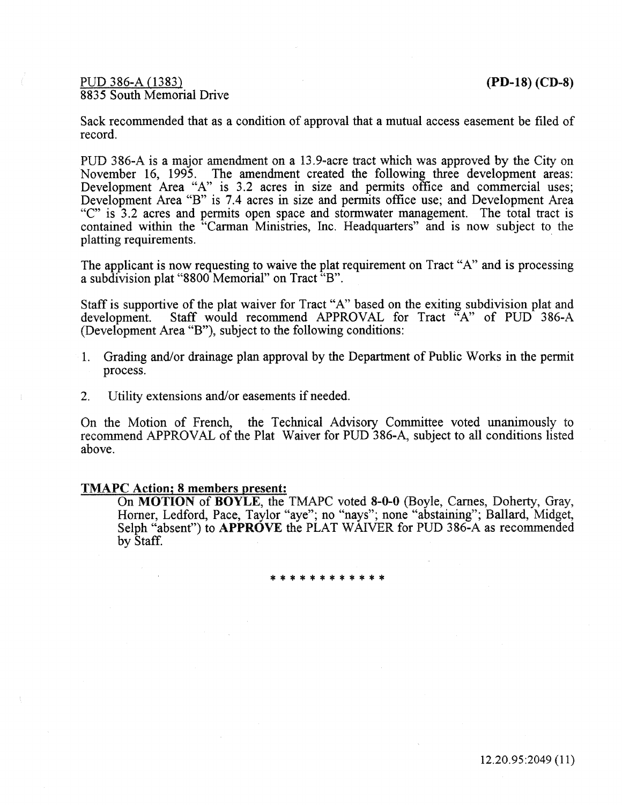PUD 386-A (1383) **(PD-18)** (CD-8) 8835 South Memorial Drive

Sack recommended that as a condition of approval that a mutual access easement be filed of record.

PUD 386-A is a major amendment on a 13.9~acre tract which was approved by the City on November 16, 1995. The amendment created the following three development areas: Development Area "A" is 3.2 acres in size and permits office and commercial uses; Development Area "B" is 7.4 acres in size and permits office use; and Development Area "C" is 3.2 acres and permits open space and stormwater management. The total tract is contained within the "Carman Ministries, Inc. Headquarters" and is now subject to the platting requirements.

The applicant is now requesting to waive the plat requirement on Tract "A" and is processing a subdivision plat "8800 Memorial" on Tract "B".

Staff is supportive of the plat waiver for Tract "A" based on the exiting subdivision plat and development. Staff would recommend APPROVAL for Tract "A" of PUD 386-A (Development Area "B"), subject to the following conditions:

- 1. Grading and/or drainage plan approval by the Department of Public Works in the permit process.
- 2. Utility extensions and/or easements if needed.

On the Motion of French, the Technical Advisory Committee voted unanimously to recommend APPROVAL of the Plat Waiver for PUD 386-A, subject to all conditions listed above.

# TMAPC Action; 8 members present:

On MOTION of BOYLE, the TMAPC voted 8-0-0 (Boyle, Carnes, Doherty, Gray, Homer, Ledford, Pace, Taylor "aye"; no "nays"; none "abstaining"; Ballard, Midget, Selph "absent") to **APPROVE** the PLAT WAIVER for PUD 386-A as recommended by Staff.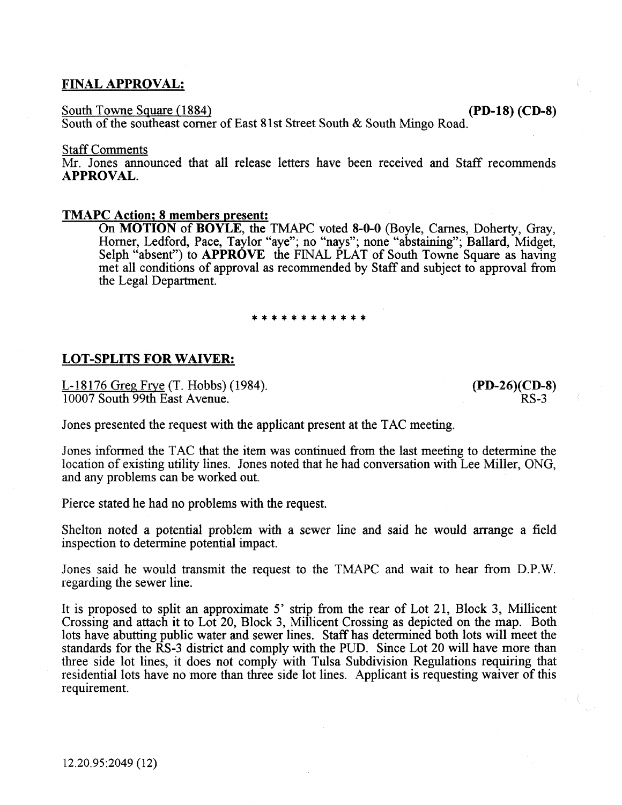# FINAL APPROVAL:

South Towne Square (1884) (PD-18) (CD-8)

South of the southeast corner of East 81st Street South & South Mingo Road.

Staff Comments

Mr. Jones announced that all release letters have been received and Staff recommends APPROVAL.

### TMAPC Action; 8 members present:

On MOTION of BOYLE, the TMAPC voted 8-0-0 (Boyle, Carnes, Doherty, Gray, Homer, Ledford, Pace, Taylor "aye"; no "nays"; none "abstaining"; Ballard, Midget, Selph "absent") to **APPROVE** the FINAL PLAT of South Towne Square as having met all conditions of approval as recommended by Staff and subject to approval from the Legal Department.

#### \*\*\*\*\*\*\*\*\*\*\*\*

# LOT-SPLITS FOR WAIVER:

L-18176 Greg Frye (T. Hobbs) (1984). 10007 South 99th East Avenue.

(PD-26)(CD-8) RS-3

Jones presented the request with the applicant present at the TAC meeting.

Jones informed the TAC that the item was continued from the last meeting to determine the location of existing utility lines. Jones noted that he had conversation with Lee Miller, ONG, and any problems can be worked out.

Pierce stated he had no problems with the request.

Shelton noted a potential problem with a sewer line and said he would arrange a field inspection to determine potential impact.

Jones said he would transmit the request to the TMAPC and wait to hear from D.P.W. regarding the sewer line.

It is proposed to split an approximate 5' strip from the rear of Lot 21, Block 3, Millicent Crossing and attach it to Lot 20, Block 3, Millicent Crossing as depicted on the map. Both lots have abutting public water and sewer lines. Staff has determined both lots will meet the standards for the RS-3 district and comply with the PUD. Since Lot 20 will have more than three side lot lines, it does not comply with Tulsa Subdivision Regulations requiring that residential lots have no more than three side lot lines. Applicant is requesting waiver of this requirement.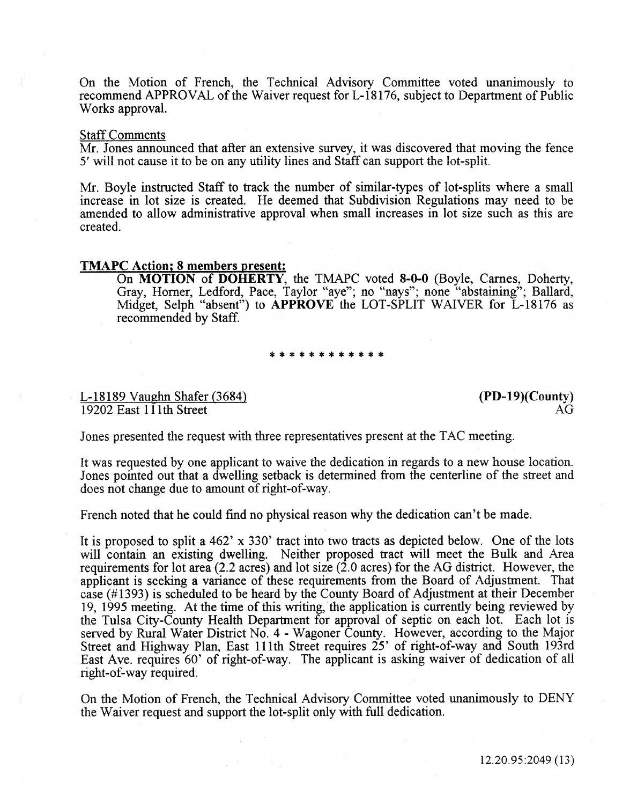On the Motion of French, the Technical Advisory Committee voted unanimously to recommend APPROVAL of the Waiver request for L-18176, subject to Department of Public Works approval.

#### Staff Comments

Mr. Jones announced that after an extensive survey, it was discovered that moving the fence 5' will not cause it to be on any utility lines and Staff can support the lot-split.

Mr. Boyle instructed Staff to track the number of similar-types of lot-splits where a small increase in lot size is created. He deemed that Subdivision Regulations may need to be amended to allow administrative approval when small increases in lot size such as this are created.

# TMAPC Action; 8 members present:

On MOTION of DOHERTY, the TMAPC voted 8-0-0 (Boyle, Carnes, Doherty, Gray, Homer, Ledford, Pace, Taylor "aye"; no "nays"; none "abstaining"; Ballard, Midget, Selph "absent") to APPROVE the LOT-SPLIT WAIVER for L-18176 as recommended by Staff.

\*\*\*\*\*\*\*\*\*

### L-18189 Vaughn Shafer (3684) 19202 East 111th Street

(PD-19)(County) AG

Jones presented the request with three representatives present at the TAC meeting.

It was requested by one applicant to waive the dedication in regards to a new house location. Jones pointed out that a dwelling setback is determined from the centerline of the street and does not change due to amount of right-of-way.

French noted that he could find no physical reason why the dedication can't be made.

It is proposed to split a 462' x 330' tract into two tracts as depicted below. One of the lots will contain an existing dwelling. Neither proposed tract will meet the Bulk and Area requirements for lot area (2.2 acres) and lot size (2.0 acres) for the AG district. However, the applicant is seeking a variance of these requirements from the Board of Adjustment. That case (#1393) is scheduled to be heard by the County Board of Adjustment at their December 19, 1995 meeting. At the time of this writing, the application is currently being reviewed by the Tulsa City-County Health Department for approval of septic on each lot. Each lot is served by Rural Water District No. 4 - Wagoner County. However, according to the Major Street and Highway Plan, East 111th Street requires 25' of right-of-way and South 193rd East Ave. requires 60' of right-of-way. The applicant is asking waiver of dedication of all right-of-way required.

On the Motion of French, the Technical Advisory Committee voted unanimously to DENY the Waiver request and support the lot-split only with full dedication.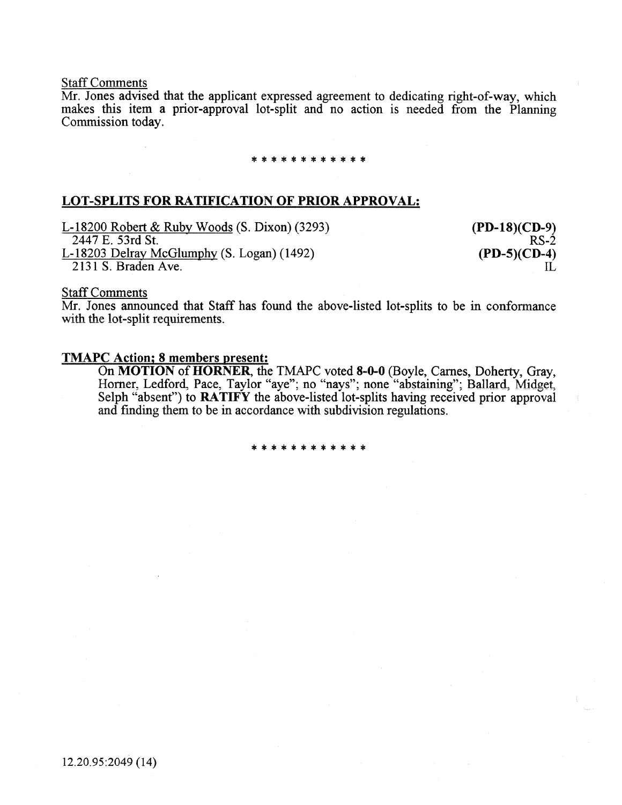#### Staff Comments

Mr. Jones advised that the applicant expressed agreement to dedicating right-of-way, which makes this item a prior-approval lot-split and no action is needed from the Planning Commission today.

# \*\*\*\*\*\*\*\*\*\*\*\*

# LOT-SPLITS FOR RATIFICATION OF PRIOR APPROVAL:

L-18200 Robert & Ruby Woods (S. Dixon) (3293) 2447 E. 53rd St. L-18203 Delray McGlumphy (S. Logan) (1492) 2131 S. Braden Ave.

(PD-18)(CD-9) RS-2 (PD-S)(CD-4)  $\Pi$ .

# Staff Comments

Mr. Jones announced that Staff has found the above-listed lot-splits to be in conformance with the lot-split requirements.

#### TMAPC Action; 8 members present:

On MOTION of HORNER, the TMAPC voted 8-0-0 (Boyle, Carnes, Doherty, Gray, Horner, Ledford, Pace, Taylor "aye"; no "nays"; none "abstaining"; Ballard, Midget, Selph "absent") to **RATIFY** the above-listed lot-splits having received prior approval and fmding them to be in accordance with subdivision regulations.

\*\*\*\*\*\*\*\*\*\*\*\*

12.20.95:2049 (14)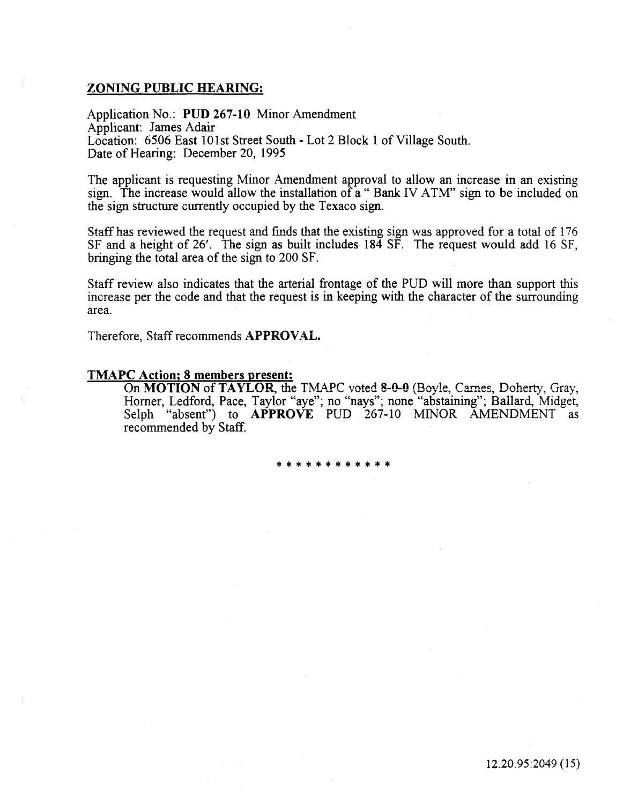# ZONING PUBLIC HEARING:

Application No.: PUD 267-10 Minor Amendment Applicant: James Adair Location: 6506 East 101st Street South- Lot 2 Block 1 of Village South. Date of Hearing: December 20, 1995

The applicant is requesting Minor Amendment approval to allow an increase in an existing sign. The increase would allow the installation of a "Bank IV ATM" sign to be included on the sign structure currently occupied by the Texaco sign.

Staff has reviewed the request and finds that the existing sign was approved for a total of 176 SF and a height of  $26'$ . The sign as built includes  $18\overline{4}$  SF. The request would add 16 SF, bringing the total area of the sign to 200 SF.

Staff review also indicates that the arterial frontage of the PUD will more than support this increase per the code and that the request is in keeping with the character of the surrounding area.

Therefore, Staff recommends APPROVAL.

# TMAPC Action; 8 members present:

On MOTION of TAYLOR, the TMAPC voted 8-0-0 (Boyle, Carnes, Doherty, Gray, Horner, Ledford, Pace, Taylor "aye"; no "nays"; none "abstaining"; Ballard, Midget, Selph "absent") to **APPROVE** PUD 267-10 MINOR AMENDMENT as recommended by Staff.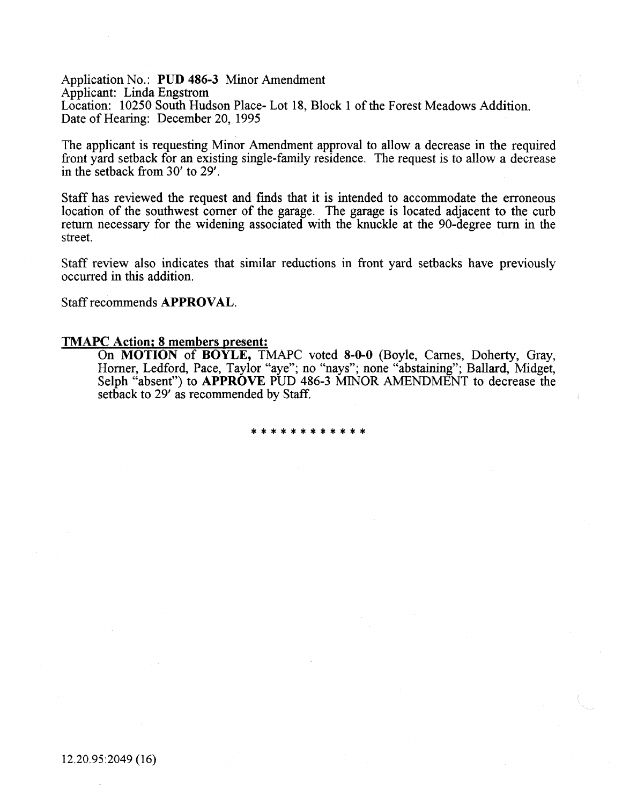Application No.: PUD 486-3 Minor Amendment Applicant: Linda Engstrom Location: 10250 South Hudson Place- Lot 18, Block 1 of the Forest Meadows Addition. Date of Hearing: December 20, 1995

The applicant is requesting Minor Amendment approval to allow a decrease in the required front yard setback for an existing single-family residence. The request is to allow a decrease in the setback from 30' to 29'.

Staff has reviewed the request and fmds that it is intended to accommodate the erroneous location of the southwest comer of the garage. The garage is located adjacent to the curb return necessary for the widening associated with the knuckle at the 90-degree turn in the street.

Staff review also indicates that similar reductions in front yard setbacks have previously occurred in this addition.

Staff recommends APPROVAL.

#### TMAPC Action; 8 members present:

On MOTION of BOYLE, TMAPC voted 8-0-0 (Boyle, Carnes, Doherty, Gray, Horner, Ledford, Pace, Taylor "aye"; no "nays"; none "abstaining"; Ballard, Midget, Selph "absent") to APPROVE PUD 486-3 MINOR AMENDMENT to decrease the setback to 29' as recommended by Staff.

\*\*\*\*\*\*\*\*\*\*\*\*

12.20.95:2049 (16)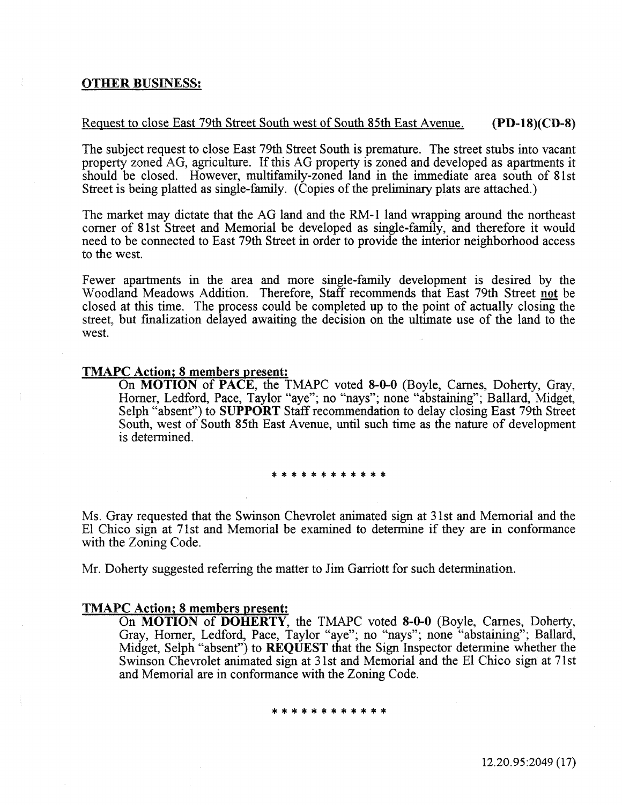# OTHER BUSINESS:

# Request to close East 79th Street South west of South 85th East A venue. (PD-18)(CD-8)

The subject request to close East 79th Street South is premature. The street stubs into vacant property zoned AG, agriculture. If this AG property is zoned and developed as apartments it should be closed. However, multifamily-zoned land in the immediate area south of 81st Street is being platted as single-family. (Copies of the preliminary plats are attached.)

The market may dictate that the AG land and the RM-1 land wrapping around the northeast comer of 81st Street and Memorial be developed as single-family, and therefore it would need to be connected to East 79th Street in order to provide the interior neighborhood access to the west.

Fewer apartments in the area and more single-family development is desired by the Woodland Meadows Addition. Therefore, Staff recommends that East 79th Street not be closed at this time. The process could be completed up to the point of actually closing the street, but fmalization delayed awaiting the decision on the ultimate use of the land to the west.

#### TMAPC Action; 8 members present:

On MOTION of PACE. the TMAPC voted 8-0-0 (Bovle. Carnes. Doherty, Grav, Horner, Ledford, Pace, Taylor "aye"; no "nays"; none "abstaining"; Ballard, Midget, Selph "absent") to SUPPORT Staff recommendation to delay closing East 79th Street South, west of South 85th East Avenue, until such time as the nature of development is determined.

\*\*\*\*\*\*\*\*\*\*\*\*

Ms. Gray requested that the Swinson Chevrolet animated sign at 31st and Memorial and the El Chico sign at 71st and Memorial be examined to determine if they are in conformance with the Zoning Code.

Mr. Doherty suggested referring the matter to Jim Garriott for such determination.

# TMAPC Action; 8 members present:

On MOTION of DOHERTY, the TMAPC voted 8-0-0 (Boyle, Carnes, Doherty, Gray, Homer, Ledford, Pace, Taylor "aye"; no "nays"; none "abstaining"; Ballard, Midget, Selph "absent") to REQUEST that the Sign Inspector determine whether the Swinson Chevrolet animated sign at 31st and Memorial and the El Chico sign at 71st and Memorial are in conformance with the Zoning Code.